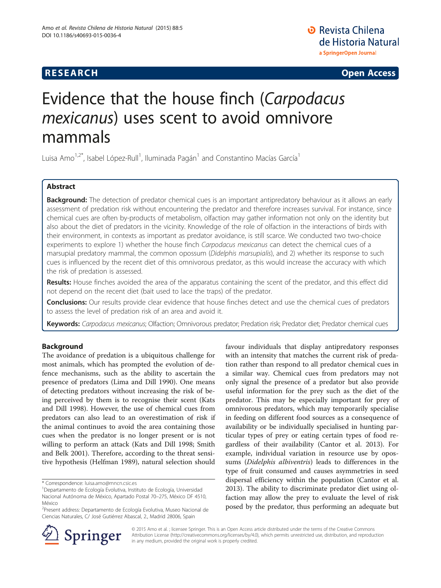## **RESEARCH CHE CHE Open Access**

**D** Revista Chilena de Historia Natural a SpringerOpen Journal

# Evidence that the house finch (Carpodacus mexicanus) uses scent to avoid omnivore mammals

Luisa Amo<sup>1,2\*</sup>, Isabel López-Rull<sup>1</sup>, Iluminada Pagán<sup>1</sup> and Constantino Macías García<sup>1</sup>

## Abstract

Background: The detection of predator chemical cues is an important antipredatory behaviour as it allows an early assessment of predation risk without encountering the predator and therefore increases survival. For instance, since chemical cues are often by-products of metabolism, olfaction may gather information not only on the identity but also about the diet of predators in the vicinity. Knowledge of the role of olfaction in the interactions of birds with their environment, in contexts as important as predator avoidance, is still scarce. We conducted two two-choice experiments to explore 1) whether the house finch Carpodacus mexicanus can detect the chemical cues of a marsupial predatory mammal, the common opossum (Didelphis marsupialis), and 2) whether its response to such cues is influenced by the recent diet of this omnivorous predator, as this would increase the accuracy with which the risk of predation is assessed.

Results: House finches avoided the area of the apparatus containing the scent of the predator, and this effect did not depend on the recent diet (bait used to lace the traps) of the predator.

Conclusions: Our results provide clear evidence that house finches detect and use the chemical cues of predators to assess the level of predation risk of an area and avoid it.

Keywords: Carpodacus mexicanus; Olfaction; Omnivorous predator; Predation risk; Predator diet; Predator chemical cues

## Background

The avoidance of predation is a ubiquitous challenge for most animals, which has prompted the evolution of defence mechanisms, such as the ability to ascertain the presence of predators (Lima and Dill [1990](#page-6-0)). One means of detecting predators without increasing the risk of being perceived by them is to recognise their scent (Kats and Dill [1998](#page-6-0)). However, the use of chemical cues from predators can also lead to an overestimation of risk if the animal continues to avoid the area containing those cues when the predator is no longer present or is not willing to perform an attack (Kats and Dill [1998](#page-6-0); Smith and Belk [2001](#page-6-0)). Therefore, according to the threat sensitive hypothesis (Helfman [1989\)](#page-6-0), natural selection should

favour individuals that display antipredatory responses with an intensity that matches the current risk of predation rather than respond to all predator chemical cues in a similar way. Chemical cues from predators may not only signal the presence of a predator but also provide useful information for the prey such as the diet of the predator. This may be especially important for prey of omnivorous predators, which may temporarily specialise in feeding on different food sources as a consequence of availability or be individually specialised in hunting particular types of prey or eating certain types of food regardless of their availability (Cantor et al. [2013\)](#page-6-0). For example, individual variation in resource use by opossums (Didelphis albiventris) leads to differences in the type of fruit consumed and causes asymmetries in seed dispersal efficiency within the population (Cantor et al. [2013](#page-6-0)). The ability to discriminate predator diet using olfaction may allow the prey to evaluate the level of risk posed by the predator, thus performing an adequate but



© 2015 Amo et al. ; licensee Springer. This is an Open Access article distributed under the terms of the Creative Commons Attribution License [\(http://creativecommons.org/licenses/by/4.0\)](http://creativecommons.org/licenses/by/4.0), which permits unrestricted use, distribution, and reproduction in any medium, provided the original work is properly credited.

<sup>\*</sup> Correspondence: [luisa.amo@mncn.csic.es](mailto:luisa.amo@mncn.csic.es) <sup>1</sup>

Departamento de Ecología Evolutiva, Instituto de Ecología, Universidad Nacional Autónoma de México, Apartado Postal 70–275, México DF 4510, México

<sup>&</sup>lt;sup>2</sup>Present address: Departamento de Ecología Evolutiva, Museo Nacional de Ciencias Naturales, C/ José Gutiérrez Abascal, 2., Madrid 28006, Spain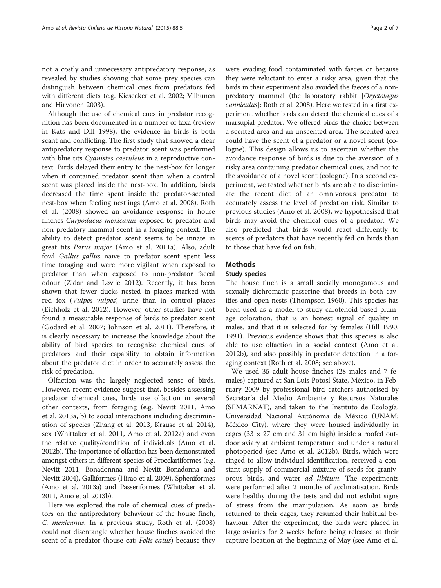Although the use of chemical cues in predator recognition has been documented in a number of taxa (review in Kats and Dill [1998\)](#page-6-0), the evidence in birds is both scant and conflicting. The first study that showed a clear antipredatory response to predator scent was performed with blue tits Cyanistes caeruleus in a reproductive context. Birds delayed their entry to the nest-box for longer when it contained predator scent than when a control scent was placed inside the nest-box. In addition, birds decreased the time spent inside the predator-scented nest-box when feeding nestlings (Amo et al. [2008](#page-5-0)). Roth et al. [\(2008\)](#page-6-0) showed an avoidance response in house finches Carpodacus mexicanus exposed to predator and non-predatory mammal scent in a foraging context. The ability to detect predator scent seems to be innate in great tits Parus major (Amo et al. [2011a](#page-5-0)). Also, adult fowl *Gallus gallus* naïve to predator scent spent less time foraging and were more vigilant when exposed to predator than when exposed to non-predator faecal odour (Zidar and Løvlie [2012\)](#page-6-0). Recently, it has been shown that fewer ducks nested in places marked with red fox (Vulpes vulpes) urine than in control places (Eichholz et al. [2012\)](#page-6-0). However, other studies have not found a measurable response of birds to predator scent (Godard et al. [2007;](#page-6-0) Johnson et al. [2011\)](#page-6-0). Therefore, it is clearly necessary to increase the knowledge about the ability of bird species to recognise chemical cues of predators and their capability to obtain information about the predator diet in order to accurately assess the risk of predation.

Olfaction was the largely neglected sense of birds. However, recent evidence suggest that, besides assessing predator chemical cues, birds use olfaction in several other contexts, from foraging (e.g. Nevitt [2011,](#page-6-0) Amo et al. [2013a](#page-5-0), [b\)](#page-5-0) to social interactions including discrimination of species (Zhang et al. [2013](#page-6-0), Krause et al. [2014](#page-6-0)), sex (Whittaker et al. [2011,](#page-6-0) Amo et al. [2012a\)](#page-5-0) and even the relative quality/condition of individuals (Amo et al. [2012b\)](#page-5-0). The importance of olfaction has been demonstrated amongst others in different species of Procelariiformes (e.g. Nevitt [2011,](#page-6-0) Bonadonnna and Nevitt Bonadonna and Nevitt [2004\)](#page-6-0), Galliformes (Hirao et al. [2009\)](#page-6-0), Spheniformes (Amo et al. [2013a](#page-5-0)) and Passeriformes (Whittaker et al. [2011,](#page-6-0) Amo et al. [2013b](#page-5-0)).

Here we explored the role of chemical cues of predators on the antipredatory behaviour of the house finch, C. mexicanus. In a previous study, Roth et al. ([2008](#page-6-0)) could not disentangle whether house finches avoided the scent of a predator (house cat; Felis catus) because they

were evading food contaminated with faeces or because they were reluctant to enter a risky area, given that the birds in their experiment also avoided the faeces of a nonpredatory mammal (the laboratory rabbit [Oryctolagus cunniculus]; Roth et al. [2008\)](#page-6-0). Here we tested in a first experiment whether birds can detect the chemical cues of a marsupial predator. We offered birds the choice between a scented area and an unscented area. The scented area could have the scent of a predator or a novel scent (cologne). This design allows us to ascertain whether the avoidance response of birds is due to the aversion of a risky area containing predator chemical cues, and not to the avoidance of a novel scent (cologne). In a second experiment, we tested whether birds are able to discriminate the recent diet of an omnivorous predator to accurately assess the level of predation risk. Similar to previous studies (Amo et al. [2008](#page-5-0)), we hypothesised that birds may avoid the chemical cues of a predator. We also predicted that birds would react differently to scents of predators that have recently fed on birds than to those that have fed on fish.

#### **Methods**

#### Study species

The house finch is a small socially monogamous and sexually dichromatic passerine that breeds in both cavities and open nests (Thompson [1960](#page-6-0)). This species has been used as a model to study carotenoid-based plumage coloration, that is an honest signal of quality in males, and that it is selected for by females (Hill [1990](#page-6-0), [1991](#page-6-0)). Previous evidence shows that this species is also able to use olfaction in a social context (Amo et al. [2012b](#page-5-0)), and also possibly in predator detection in a foraging context (Roth et al. [2008;](#page-6-0) see above).

We used 35 adult house finches (28 males and 7 females) captured at San Luis Potosí State, México, in February 2009 by professional bird catchers authorised by Secretaría del Medio Ambiente y Recursos Naturales (SEMARNAT), and taken to the Instituto de Ecología, Universidad Nacional Autónoma de México (UNAM; México City), where they were housed individually in cages ( $33 \times 27$  cm and  $31$  cm high) inside a roofed outdoor aviary at ambient temperature and under a natural photoperiod (see Amo et al. [2012b](#page-5-0)). Birds, which were ringed to allow individual identification, received a constant supply of commercial mixture of seeds for granivorous birds, and water ad libitum. The experiments were performed after 2 months of acclimatisation. Birds were healthy during the tests and did not exhibit signs of stress from the manipulation. As soon as birds returned to their cages, they resumed their habitual behaviour. After the experiment, the birds were placed in large aviaries for 2 weeks before being released at their capture location at the beginning of May (see Amo et al.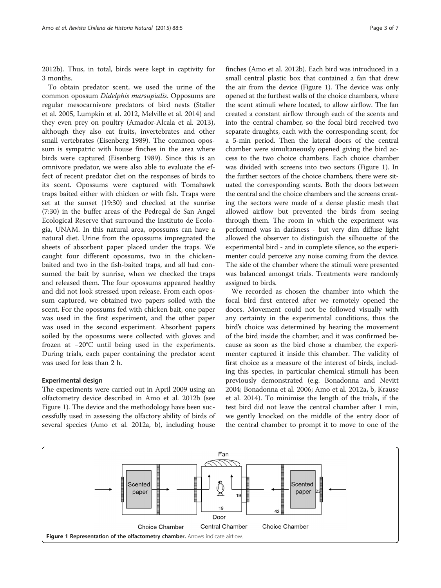[2012b](#page-5-0)). Thus, in total, birds were kept in captivity for 3 months.

To obtain predator scent, we used the urine of the common opossum Didelphis marsupialis. Opposums are regular mesocarnivore predators of bird nests (Staller et al. [2005,](#page-6-0) Lumpkin et al. [2012](#page-6-0), Melville et al. [2014](#page-6-0)) and they even prey on poultry (Amador-Alcala et al. [2013](#page-5-0)), although they also eat fruits, invertebrates and other small vertebrates (Eisenberg [1989](#page-6-0)). The common opossum is sympatric with house finches in the area where birds were captured (Eisenberg [1989\)](#page-6-0). Since this is an omnivore predator, we were also able to evaluate the effect of recent predator diet on the responses of birds to its scent. Opossums were captured with Tomahawk traps baited either with chicken or with fish. Traps were set at the sunset (19:30) and checked at the sunrise (7:30) in the buffer areas of the Pedregal de San Angel Ecological Reserve that surround the Instituto de Ecología, UNAM. In this natural area, opossums can have a natural diet. Urine from the opossums impregnated the sheets of absorbent paper placed under the traps. We caught four different opossums, two in the chickenbaited and two in the fish-baited traps, and all had consumed the bait by sunrise, when we checked the traps and released them. The four opossums appeared healthy and did not look stressed upon release. From each opossum captured, we obtained two papers soiled with the scent. For the opossums fed with chicken bait, one paper was used in the first experiment, and the other paper was used in the second experiment. Absorbent papers soiled by the opossums were collected with gloves and frozen at −20°C until being used in the experiments. During trials, each paper containing the predator scent was used for less than 2 h.

#### Experimental design

The experiments were carried out in April 2009 using an olfactometry device described in Amo et al. [2012b](#page-5-0) (see Figure 1). The device and the methodology have been successfully used in assessing the olfactory ability of birds of several species (Amo et al. [2012a](#page-5-0), [b\)](#page-5-0), including house

finches (Amo et al. [2012b\)](#page-5-0). Each bird was introduced in a small central plastic box that contained a fan that drew the air from the device (Figure 1). The device was only opened at the furthest walls of the choice chambers, where the scent stimuli where located, to allow airflow. The fan created a constant airflow through each of the scents and into the central chamber, so the focal bird received two separate draughts, each with the corresponding scent, for a 5-min period. Then the lateral doors of the central chamber were simultaneously opened giving the bird access to the two choice chambers. Each choice chamber was divided with screens into two sectors (Figure 1). In the further sectors of the choice chambers, there were situated the corresponding scents. Both the doors between the central and the choice chambers and the screens creating the sectors were made of a dense plastic mesh that allowed airflow but prevented the birds from seeing through them. The room in which the experiment was performed was in darkness - but very dim diffuse light allowed the observer to distinguish the silhouette of the experimental bird - and in complete silence, so the experimenter could perceive any noise coming from the device. The side of the chamber where the stimuli were presented was balanced amongst trials. Treatments were randomly

We recorded as chosen the chamber into which the focal bird first entered after we remotely opened the doors. Movement could not be followed visually with any certainty in the experimental conditions, thus the bird's choice was determined by hearing the movement of the bird inside the chamber, and it was confirmed because as soon as the bird chose a chamber, the experimenter captured it inside this chamber. The validity of first choice as a measure of the interest of birds, including this species, in particular chemical stimuli has been previously demonstrated (e.g. Bonadonna and Nevitt [2004](#page-6-0); Bonadonna et al. [2006;](#page-6-0) Amo et al. [2012a](#page-5-0), [b](#page-5-0), Krause et al. [2014\)](#page-6-0). To minimise the length of the trials, if the test bird did not leave the central chamber after 1 min, we gently knocked on the middle of the entry door of the central chamber to prompt it to move to one of the



assigned to birds.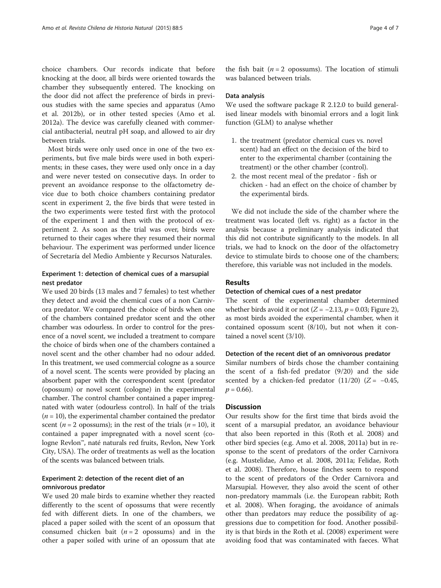choice chambers. Our records indicate that before knocking at the door, all birds were oriented towards the chamber they subsequently entered. The knocking on the door did not affect the preference of birds in previous studies with the same species and apparatus (Amo et al. [2012b](#page-5-0)), or in other tested species (Amo et al. [2012a\)](#page-5-0). The device was carefully cleaned with commercial antibacterial, neutral pH soap, and allowed to air dry between trials.

Most birds were only used once in one of the two experiments, but five male birds were used in both experiments; in these cases, they were used only once in a day and were never tested on consecutive days. In order to prevent an avoidance response to the olfactometry device due to both choice chambers containing predator scent in experiment 2, the five birds that were tested in the two experiments were tested first with the protocol of the experiment 1 and then with the protocol of experiment 2. As soon as the trial was over, birds were returned to their cages where they resumed their normal behaviour. The experiment was performed under licence of Secretaría del Medio Ambiente y Recursos Naturales.

## Experiment 1: detection of chemical cues of a marsupial nest predator

We used 20 birds (13 males and 7 females) to test whether they detect and avoid the chemical cues of a non Carnivora predator. We compared the choice of birds when one of the chambers contained predator scent and the other chamber was odourless. In order to control for the presence of a novel scent, we included a treatment to compare the choice of birds when one of the chambers contained a novel scent and the other chamber had no odour added. In this treatment, we used commercial cologne as a source of a novel scent. The scents were provided by placing an absorbent paper with the correspondent scent (predator (opossum) or novel scent (cologne) in the experimental chamber. The control chamber contained a paper impregnated with water (odourless control). In half of the trials  $(n = 10)$ , the experimental chamber contained the predator scent ( $n = 2$  opossums); in the rest of the trials ( $n = 10$ ), it contained a paper impregnated with a novel scent (cologne Revlon™, naté naturals red fruits, Revlon, New York City, USA). The order of treatments as well as the location of the scents was balanced between trials.

## Experiment 2: detection of the recent diet of an omnivorous predator

We used 20 male birds to examine whether they reacted differently to the scent of opossums that were recently fed with different diets. In one of the chambers, we placed a paper soiled with the scent of an opossum that consumed chicken bait  $(n = 2 \text{ opossum})$  and in the other a paper soiled with urine of an opossum that ate

the fish bait ( $n = 2$  opossums). The location of stimuli was balanced between trials.

#### Data analysis

We used the software package R 2.12.0 to build generalised linear models with binomial errors and a logit link function (GLM) to analyse whether

- 1. the treatment (predator chemical cues vs. novel scent) had an effect on the decision of the bird to enter to the experimental chamber (containing the treatment) or the other chamber (control).
- 2. the most recent meal of the predator fish or chicken - had an effect on the choice of chamber by the experimental birds.

We did not include the side of the chamber where the treatment was located (left vs. right) as a factor in the analysis because a preliminary analysis indicated that this did not contribute significantly to the models. In all trials, we had to knock on the door of the olfactometry device to stimulate birds to choose one of the chambers; therefore, this variable was not included in the models.

## Results

#### Detection of chemical cues of a nest predator

The scent of the experimental chamber determined whether birds avoid it or not  $(Z = -2.13, p = 0.03;$  Figure [2](#page-4-0)), as most birds avoided the experimental chamber, when it contained opossum scent (8/10), but not when it contained a novel scent (3/10).

#### Detection of the recent diet of an omnivorous predator

Similar numbers of birds chose the chamber containing the scent of a fish-fed predator (9/20) and the side scented by a chicken-fed predator  $(11/20)$  (Z = -0.45,  $p = 0.66$ ).

#### **Discussion**

Our results show for the first time that birds avoid the scent of a marsupial predator, an avoidance behaviour that also been reported in this (Roth et al. [2008\)](#page-6-0) and other bird species (e.g. Amo et al. [2008, 2011a\)](#page-5-0) but in response to the scent of predators of the order Carnivora (e.g. Mustelidae, Amo et al. [2008, 2011a](#page-5-0); Felidae, Roth et al. [2008\)](#page-6-0). Therefore, house finches seem to respond to the scent of predators of the Order Carnivora and Marsupial. However, they also avoid the scent of other non-predatory mammals (i.e. the European rabbit; Roth et al. [2008\)](#page-6-0). When foraging, the avoidance of animals other than predators may reduce the possibility of aggressions due to competition for food. Another possibility is that birds in the Roth et al. [\(2008\)](#page-6-0) experiment were avoiding food that was contaminated with faeces. What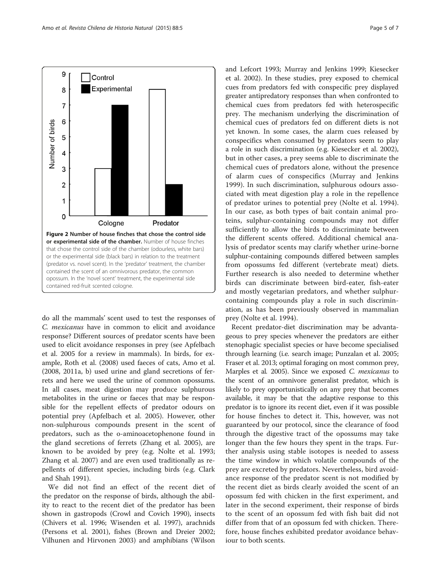<span id="page-4-0"></span>

do all the mammals' scent used to test the responses of C. mexicanus have in common to elicit and avoidance response? Different sources of predator scents have been used to elicit avoidance responses in prey (see Apfelbach et al. [2005](#page-5-0) for a review in mammals). In birds, for example, Roth et al. [\(2008\)](#page-6-0) used faeces of cats, Amo et al. ([2008](#page-5-0), [2011a](#page-5-0), [b\)](#page-5-0) used urine and gland secretions of ferrets and here we used the urine of common opossums. In all cases, meat digestion may produce sulphurous metabolites in the urine or faeces that may be responsible for the repellent effects of predator odours on potential prey (Apfelbach et al. [2005\)](#page-5-0). However, other non-sulphurous compounds present in the scent of predators, such as the ο-aminoacetophenone found in the gland secretions of ferrets (Zhang et al. [2005](#page-6-0)), are known to be avoided by prey (e.g. Nolte et al. [1993](#page-6-0); Zhang et al. [2007](#page-6-0)) and are even used traditionally as repellents of different species, including birds (e.g. Clark and Shah [1991](#page-6-0)).

We did not find an effect of the recent diet of the predator on the response of birds, although the ability to react to the recent diet of the predator has been shown in gastropods (Crowl and Covich [1990](#page-6-0)), insects (Chivers et al. [1996;](#page-6-0) Wisenden et al. [1997](#page-6-0)), arachnids (Persons et al. [2001\)](#page-6-0), fishes (Brown and Dreier [2002](#page-6-0); Vilhunen and Hirvonen [2003](#page-6-0)) and amphibians (Wilson and Lefcort [1993;](#page-6-0) Murray and Jenkins [1999;](#page-6-0) Kiesecker et al. [2002](#page-6-0)). In these studies, prey exposed to chemical cues from predators fed with conspecific prey displayed greater antipredatory responses than when confronted to chemical cues from predators fed with heterospecific prey. The mechanism underlying the discrimination of chemical cues of predators fed on different diets is not yet known. In some cases, the alarm cues released by conspecifics when consumed by predators seem to play a role in such discrimination (e.g. Kiesecker et al. [2002](#page-6-0)), but in other cases, a prey seems able to discriminate the chemical cues of predators alone, without the presence of alarm cues of conspecifics (Murray and Jenkins [1999\)](#page-6-0). In such discrimination, sulphurous odours associated with meat digestion play a role in the repellence of predator urines to potential prey (Nolte et al. [1994](#page-6-0)). In our case, as both types of bait contain animal proteins, sulphur-containing compounds may not differ sufficiently to allow the birds to discriminate between the different scents offered. Additional chemical analysis of predator scents may clarify whether urine-borne sulphur-containing compounds differed between samples from opossums fed different (vertebrate meat) diets. Further research is also needed to determine whether birds can discriminate between bird-eater, fish-eater and mostly vegetarian predators, and whether sulphurcontaining compounds play a role in such discrimination, as has been previously observed in mammalian prey (Nolte et al. [1994](#page-6-0)).

Recent predator-diet discrimination may be advantageous to prey species whenever the predators are either stenophagic specialist species or have become specialised through learning (i.e. search image; Punzalan et al. [2005](#page-6-0); Fraser et al. [2013](#page-6-0); optimal foraging on most common prey, Marples et al. [2005](#page-6-0)). Since we exposed C. mexicanus to the scent of an omnivore generalist predator, which is likely to prey opportunistically on any prey that becomes available, it may be that the adaptive response to this predator is to ignore its recent diet, even if it was possible for house finches to detect it. This, however, was not guaranteed by our protocol, since the clearance of food through the digestive tract of the opossums may take longer than the few hours they spent in the traps. Further analysis using stable isotopes is needed to assess the time window in which volatile compounds of the prey are excreted by predators. Nevertheless, bird avoidance response of the predator scent is not modified by the recent diet as birds clearly avoided the scent of an opossum fed with chicken in the first experiment, and later in the second experiment, their response of birds to the scent of an opossum fed with fish bait did not differ from that of an opossum fed with chicken. Therefore, house finches exhibited predator avoidance behaviour to both scents.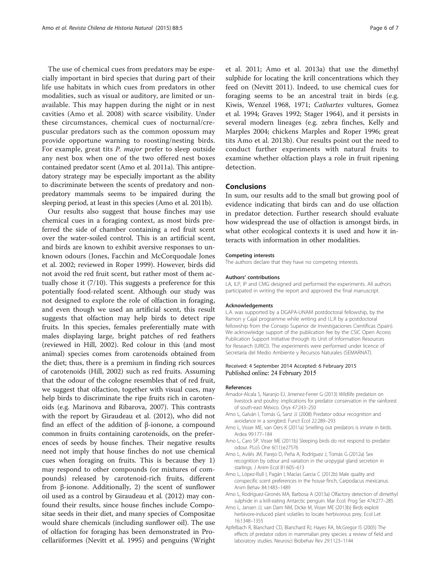<span id="page-5-0"></span>The use of chemical cues from predators may be especially important in bird species that during part of their life use habitats in which cues from predators in other modalities, such as visual or auditory, are limited or unavailable. This may happen during the night or in nest cavities (Amo et al. 2008) with scarce visibility. Under these circumstances, chemical cues of nocturnal/crepuscular predators such as the common opossum may provide opportune warning to roosting/nesting birds. For example, great tits P. major prefer to sleep outside any nest box when one of the two offered nest boxes contained predator scent (Amo et al. 2011a). This antipredatory strategy may be especially important as the ability to discriminate between the scents of predatory and nonpredatory mammals seems to be impaired during the sleeping period, at least in this species (Amo et al. 2011b).

Our results also suggest that house finches may use chemical cues in a foraging context, as most birds preferred the side of chamber containing a red fruit scent over the water-soiled control. This is an artificial scent, and birds are known to exhibit aversive responses to unknown odours (Jones, Facchin and McCorquodale Jones et al. [2002;](#page-6-0) reviewed in Roper [1999\)](#page-6-0). However, birds did not avoid the red fruit scent, but rather most of them actually chose it (7/10). This suggests a preference for this potentially food-related scent. Although our study was not designed to explore the role of olfaction in foraging, and even though we used an artificial scent, this result suggests that olfaction may help birds to detect ripe fruits. In this species, females preferentially mate with males displaying large, bright patches of red feathers (reviewed in Hill, [2002\)](#page-6-0). Red colour in this (and most animal) species comes from carotenoids obtained from the diet; thus, there is a premium in finding rich sources of carotenoids (Hill, [2002\)](#page-6-0) such as red fruits. Assuming that the odour of the cologne resembles that of red fruit, we suggest that olfaction, together with visual cues, may help birds to discriminate the ripe fruits rich in carotenoids (e.g. Marinova and Ribarova, [2007\)](#page-6-0). This contrasts with the report by Giraudeau et al. ([2012](#page-6-0)), who did not find an effect of the addition of β-ionone, a compound common in fruits containing carotenoids, on the preferences of seeds by house finches. Their negative results need not imply that house finches do not use chemical cues when foraging on fruits. This is because they 1) may respond to other compounds (or mixtures of compounds) released by carotenoid-rich fruits, different from β-ionone. Additionally, 2) the scent of sunflower oil used as a control by Giraudeau et al. [\(2012\)](#page-6-0) may confound their results, since house finches include Compositae seeds in their diet, and many species of Compositae would share chemicals (including sunflower oil). The use of olfaction for foraging has been demonstrated in Procellariiformes (Nevitt et al. [1995\)](#page-6-0) and penguins (Wright et al. [2011;](#page-6-0) Amo et al. 2013a) that use the dimethyl sulphide for locating the krill concentrations which they feed on (Nevitt [2011](#page-6-0)). Indeed, to use chemical cues for foraging seems to be an ancestral trait in birds (e.g. Kiwis, Wenzel [1968](#page-6-0), [1971;](#page-6-0) Cathartes vultures, Gomez et al. [1994](#page-6-0); Graves [1992](#page-6-0); Stager [1964\)](#page-6-0), and it persists in several modern lineages (e.g. zebra finches, Kelly and Marples [2004;](#page-6-0) chickens Marples and Roper [1996;](#page-6-0) great tits Amo et al. 2013b). Our results point out the need to conduct further experiments with natural fruits to examine whether olfaction plays a role in fruit ripening detection.

#### Conclusions

In sum, our results add to the small but growing pool of evidence indicating that birds can and do use olfaction in predator detection. Further research should evaluate how widespread the use of olfaction is amongst birds, in what other ecological contexts it is used and how it interacts with information in other modalities.

#### Competing interests

The authors declare that they have no competing interests.

#### Authors' contributions

LA, ILP, IP and CMG designed and performed the experiments. All authors participated in writing the report and approved the final manuscript.

#### Acknowledgements

L.A. was supported by a DGAPA-UNAM postdoctoral fellowship, by the Ramon y Cajal programme while writing and I.L.R by a postdoctoral fellowship from the Consejo Superior de Investigaciones Científicas (Spain). We acknowledge support of the publication fee by the CSIC Open Access Publication Support Initiative through its Unit of Information Resources for Research (URICI). The experiments were performed under licence of Secretaría del Medio Ambiente y Recursos Naturales (SEMARNAT).

#### Received: 4 September 2014 Accepted: 6 February 2015 Published online: 24 February 2015

#### References

- Amador-Alcala S, Naranjo EJ, Jimenez-Ferrer G (2013) Wildlife predation on livestock and poultry: implications for predator conservation in the rainforest of south-east México. Oryx 47:243–250
- Amo L, Galván I, Tomás G, Sanz JJ (2008) Predator odour recognition and avoidance in a songbird. Funct Ecol 22:289–293
- Amo L, Visser ME, van Oers K (2011a) Smelling out predators is innate in birds. Ardea 99:177–184
- Amo L, Caro SP, Visser ME (2011b) Sleeping birds do not respond to predator odour. PLoS One 6(11):e27576
- Amo L, Avilés JM, Parejo D, Peña A, Rodríguez J, Tomás G (2012a) Sex recognition by odour and variation in the uropygial gland secretion in starlings. J Anim Ecol 81:605–613
- Amo L, López-Rull I, Pagán I, Macías Garcia C (2012b) Male quality and conspecific scent preferences in the house finch, Carpodacus mexicanus. Anim Behav 84:1483–1489
- Amo L, Rodríguez-Gironés MA, Barbosa A (2013a) Olfactory detection of dimethyl sulphide in a krill-eating Antarctic penguin. Mar Ecol: Prog Ser 474:277–285
- Amo L, Jansen JJ, van Dam NM, Dicke M, Visser ME (2013b) Birds exploit herbivore-induced plant volatiles to locate herbivorous prey. Ecol Let 16:1348–1355
- Apfelbach R, Blanchard CD, Blanchard RJ, Hayes RA, McGregor IS (2005) The effects of predator odors in mammalian prey species: a review of field and laboratory studies. Neurosci Biobehav Rev 29:1123–1144